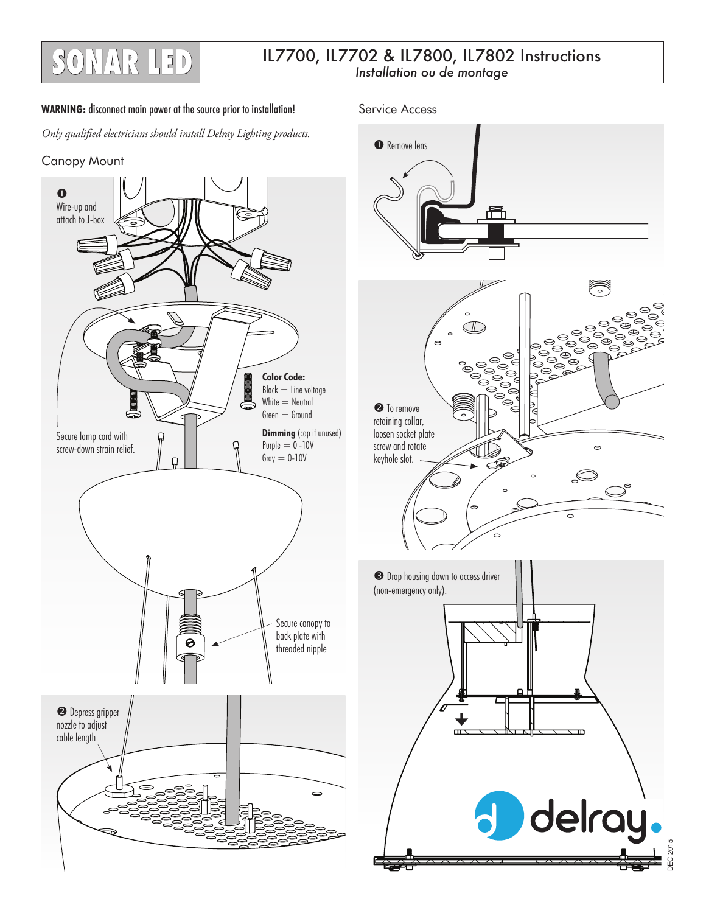## IL7700, IL7702 & IL7800, IL7802 Instructions **SONAR LED** *Installation ou de montage*

## WARNING: disconnect main power at the source prior to installation! Service Access

*Only qualified electricians should install Delray Lighting products.*





**O** Remove lens Ħ O) <sup>O</sup> To remove retaining collar, loosen socket plate screw and rotate  $\circ$ keyhole slot.  $\circ$  $\bullet$  Drop housing down to access driver (non-emergency only).  $\overline{ }$ m delray. **JEC 2015** DEC 2015